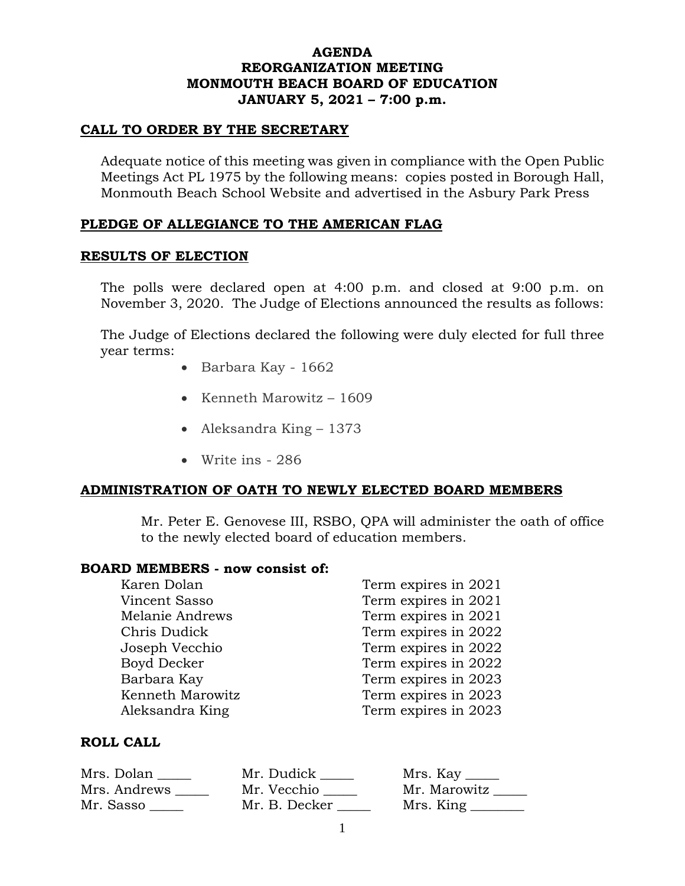## **AGENDA REORGANIZATION MEETING MONMOUTH BEACH BOARD OF EDUCATION JANUARY 5, 2021 – 7:00 p.m.**

#### **CALL TO ORDER BY THE SECRETARY**

Adequate notice of this meeting was given in compliance with the Open Public Meetings Act PL 1975 by the following means: copies posted in Borough Hall, Monmouth Beach School Website and advertised in the Asbury Park Press

# **PLEDGE OF ALLEGIANCE TO THE AMERICAN FLAG**

## **RESULTS OF ELECTION**

The polls were declared open at 4:00 p.m. and closed at 9:00 p.m. on November 3, 2020. The Judge of Elections announced the results as follows:

The Judge of Elections declared the following were duly elected for full three year terms:

- Barbara Kay 1662
- Kenneth Marowitz 1609
- Aleksandra King 1373
- Write ins 286

# **ADMINISTRATION OF OATH TO NEWLY ELECTED BOARD MEMBERS**

Mr. Peter E. Genovese III, RSBO, QPA will administer the oath of office to the newly elected board of education members.

#### **BOARD MEMBERS - now consist of:**

| Karen Dolan      | Term expires in 2021 |
|------------------|----------------------|
| Vincent Sasso    | Term expires in 2021 |
| Melanie Andrews  | Term expires in 2021 |
| Chris Dudick     | Term expires in 2022 |
| Joseph Vecchio   | Term expires in 2022 |
| Boyd Decker      | Term expires in 2022 |
| Barbara Kay      | Term expires in 2023 |
| Kenneth Marowitz | Term expires in 2023 |
| Aleksandra King  | Term expires in 2023 |

## **ROLL CALL**

| Mrs. Dolan   | Mr. Dudick    | Mrs. Kay _____ |
|--------------|---------------|----------------|
| Mrs. Andrews | Mr. Vecchio   | Mr. Marowitz   |
| Mr. Sasso    | Mr. B. Decker | Mrs. King      |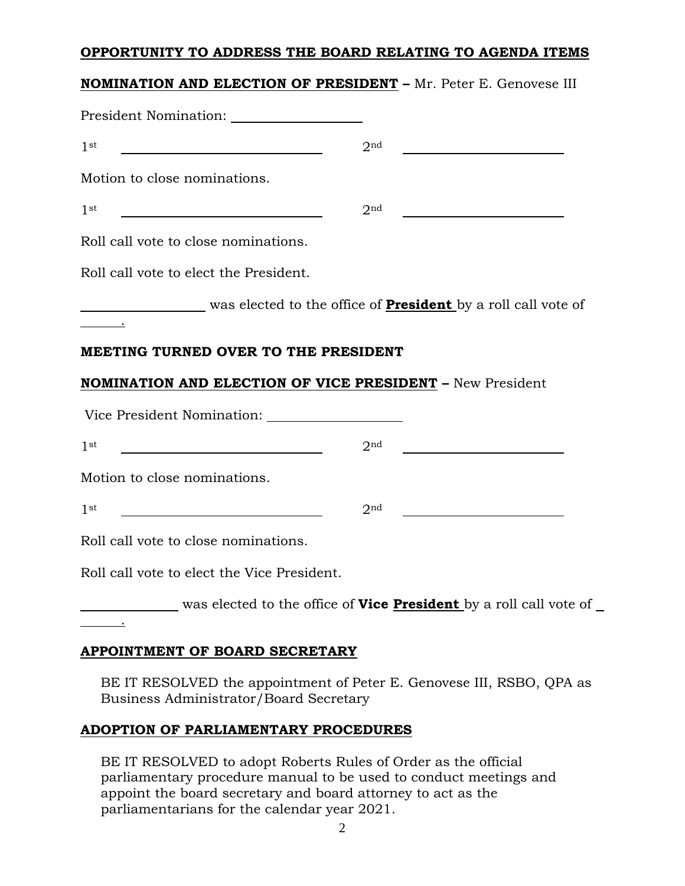## **OPPORTUNITY TO ADDRESS THE BOARD RELATING TO AGENDA ITEMS**

# **NOMINATION AND ELECTION OF PRESIDENT –** Mr. Peter E. Genovese III

| <b>President Nomination:</b>                                                                                                                              |                 |  |
|-----------------------------------------------------------------------------------------------------------------------------------------------------------|-----------------|--|
| 1 <sup>st</sup>                                                                                                                                           | 2 <sub>nd</sub> |  |
| Motion to close nominations.                                                                                                                              |                 |  |
| 1 <sup>st</sup>                                                                                                                                           | 2 <sub>nd</sub> |  |
| Roll call vote to close nominations.                                                                                                                      |                 |  |
| Roll call vote to elect the President.                                                                                                                    |                 |  |
| was elected to the office of <b>President</b> by a roll call vote of                                                                                      |                 |  |
| MEETING TURNED OVER TO THE PRESIDENT<br><b>NOMINATION AND ELECTION OF VICE PRESIDENT - New President</b><br>Vice President Nomination:<br>1 <sup>st</sup> | 2 <sub>nd</sub> |  |
| Motion to close nominations.                                                                                                                              |                 |  |
| 1 <sup>st</sup>                                                                                                                                           | 2 <sup>nd</sup> |  |
| Roll call vote to close nominations.                                                                                                                      |                 |  |
| Roll call vote to elect the Vice President.                                                                                                               |                 |  |
| was elected to the office of <b>Vice President</b> by a roll call vote of                                                                                 |                 |  |
|                                                                                                                                                           |                 |  |

# **APPOINTMENT OF BOARD SECRETARY**

BE IT RESOLVED the appointment of Peter E. Genovese III, RSBO, QPA as Business Administrator/Board Secretary

# **ADOPTION OF PARLIAMENTARY PROCEDURES**

BE IT RESOLVED to adopt Roberts Rules of Order as the official parliamentary procedure manual to be used to conduct meetings and appoint the board secretary and board attorney to act as the parliamentarians for the calendar year 2021.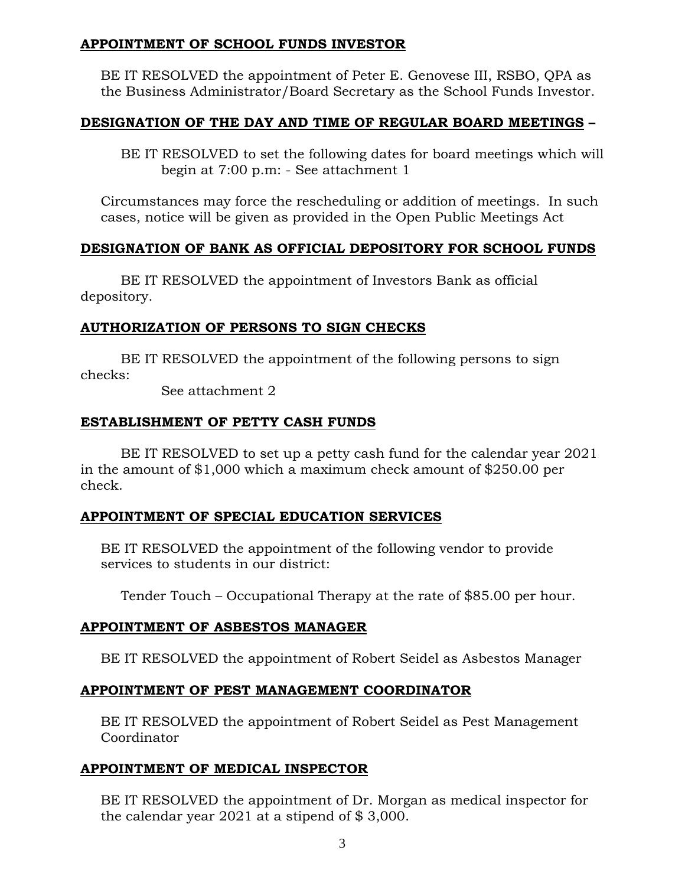## **APPOINTMENT OF SCHOOL FUNDS INVESTOR**

BE IT RESOLVED the appointment of Peter E. Genovese III, RSBO, QPA as the Business Administrator/Board Secretary as the School Funds Investor.

## **DESIGNATION OF THE DAY AND TIME OF REGULAR BOARD MEETINGS –**

BE IT RESOLVED to set the following dates for board meetings which will begin at 7:00 p.m: - See attachment 1

Circumstances may force the rescheduling or addition of meetings. In such cases, notice will be given as provided in the Open Public Meetings Act

## **DESIGNATION OF BANK AS OFFICIAL DEPOSITORY FOR SCHOOL FUNDS**

BE IT RESOLVED the appointment of Investors Bank as official depository.

## **AUTHORIZATION OF PERSONS TO SIGN CHECKS**

BE IT RESOLVED the appointment of the following persons to sign checks:

See attachment 2

## **ESTABLISHMENT OF PETTY CASH FUNDS**

BE IT RESOLVED to set up a petty cash fund for the calendar year 2021 in the amount of \$1,000 which a maximum check amount of \$250.00 per check.

## **APPOINTMENT OF SPECIAL EDUCATION SERVICES**

BE IT RESOLVED the appointment of the following vendor to provide services to students in our district:

Tender Touch – Occupational Therapy at the rate of \$85.00 per hour.

## **APPOINTMENT OF ASBESTOS MANAGER**

BE IT RESOLVED the appointment of Robert Seidel as Asbestos Manager

## **APPOINTMENT OF PEST MANAGEMENT COORDINATOR**

BE IT RESOLVED the appointment of Robert Seidel as Pest Management Coordinator

## **APPOINTMENT OF MEDICAL INSPECTOR**

BE IT RESOLVED the appointment of Dr. Morgan as medical inspector for the calendar year 2021 at a stipend of \$ 3,000.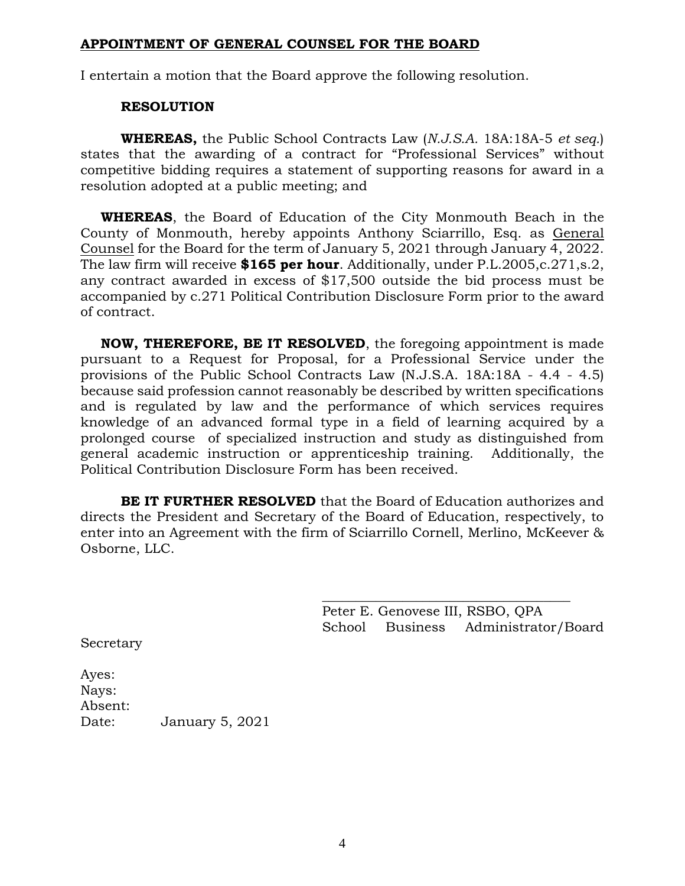## **APPOINTMENT OF GENERAL COUNSEL FOR THE BOARD**

I entertain a motion that the Board approve the following resolution.

## **RESOLUTION**

**WHEREAS,** the Public School Contracts Law (*N.J.S.A.* 18A:18A-5 *et seq.*) states that the awarding of a contract for "Professional Services" without competitive bidding requires a statement of supporting reasons for award in a resolution adopted at a public meeting; and

**WHEREAS**, the Board of Education of the City Monmouth Beach in the County of Monmouth, hereby appoints Anthony Sciarrillo, Esq. as General Counsel for the Board for the term of January 5, 2021 through January 4, 2022. The law firm will receive **\$165 per hour**. Additionally, under P.L.2005,c.271,s.2, any contract awarded in excess of \$17,500 outside the bid process must be accompanied by c.271 Political Contribution Disclosure Form prior to the award of contract.

**NOW, THEREFORE, BE IT RESOLVED**, the foregoing appointment is made pursuant to a Request for Proposal, for a Professional Service under the provisions of the Public School Contracts Law (N.J.S.A. 18A:18A - 4.4 - 4.5) because said profession cannot reasonably be described by written specifications and is regulated by law and the performance of which services requires knowledge of an advanced formal type in a field of learning acquired by a prolonged course of specialized instruction and study as distinguished from general academic instruction or apprenticeship training. Additionally, the Political Contribution Disclosure Form has been received.

**BE IT FURTHER RESOLVED** that the Board of Education authorizes and directs the President and Secretary of the Board of Education, respectively, to enter into an Agreement with the firm of Sciarrillo Cornell, Merlino, McKeever & Osborne, LLC.

> Peter E. Genovese III, RSBO, QPA School Business Administrator/Board

\_\_\_\_\_\_\_\_\_\_\_\_\_\_\_\_\_\_\_\_\_\_\_\_\_\_\_\_\_\_\_\_\_\_\_\_\_

Secretary

Ayes: Nays: Absent: Date: January 5, 2021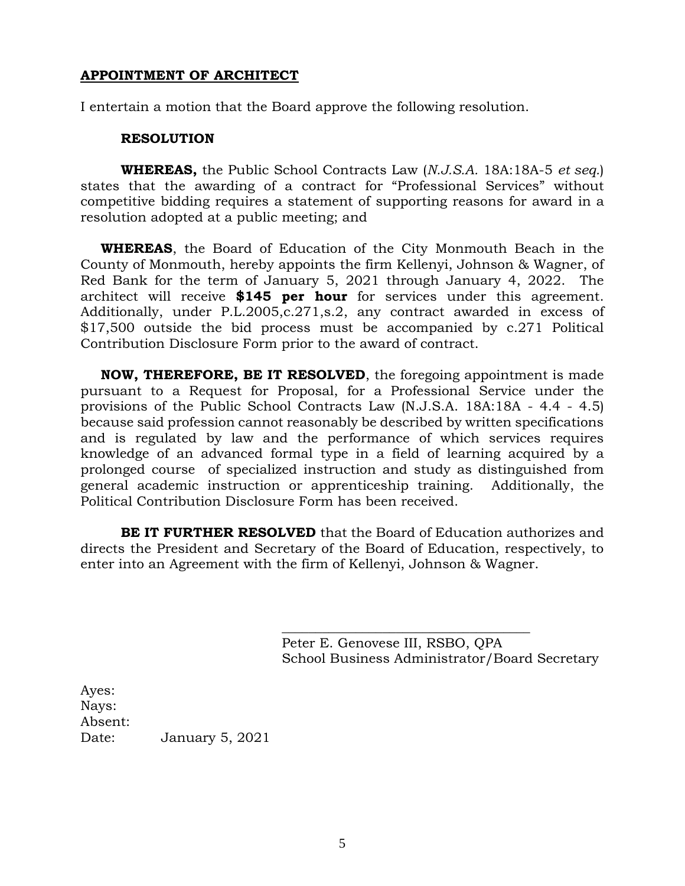## **APPOINTMENT OF ARCHITECT**

I entertain a motion that the Board approve the following resolution.

#### **RESOLUTION**

**WHEREAS,** the Public School Contracts Law (*N.J.S.A.* 18A:18A-5 *et seq.*) states that the awarding of a contract for "Professional Services" without competitive bidding requires a statement of supporting reasons for award in a resolution adopted at a public meeting; and

**WHEREAS**, the Board of Education of the City Monmouth Beach in the County of Monmouth, hereby appoints the firm Kellenyi, Johnson & Wagner, of Red Bank for the term of January 5, 2021 through January 4, 2022. The architect will receive **\$145 per hour** for services under this agreement. Additionally, under P.L.2005,c.271,s.2, any contract awarded in excess of \$17,500 outside the bid process must be accompanied by c.271 Political Contribution Disclosure Form prior to the award of contract.

**NOW, THEREFORE, BE IT RESOLVED**, the foregoing appointment is made pursuant to a Request for Proposal, for a Professional Service under the provisions of the Public School Contracts Law (N.J.S.A. 18A:18A - 4.4 - 4.5) because said profession cannot reasonably be described by written specifications and is regulated by law and the performance of which services requires knowledge of an advanced formal type in a field of learning acquired by a prolonged course of specialized instruction and study as distinguished from general academic instruction or apprenticeship training. Additionally, the Political Contribution Disclosure Form has been received.

**BE IT FURTHER RESOLVED** that the Board of Education authorizes and directs the President and Secretary of the Board of Education, respectively, to enter into an Agreement with the firm of Kellenyi, Johnson & Wagner.

> Peter E. Genovese III, RSBO, QPA School Business Administrator/Board Secretary

 $\frac{1}{2}$  , and the set of the set of the set of the set of the set of the set of the set of the set of the set of the set of the set of the set of the set of the set of the set of the set of the set of the set of the set

Ayes: Nays: Absent: Date: January 5, 2021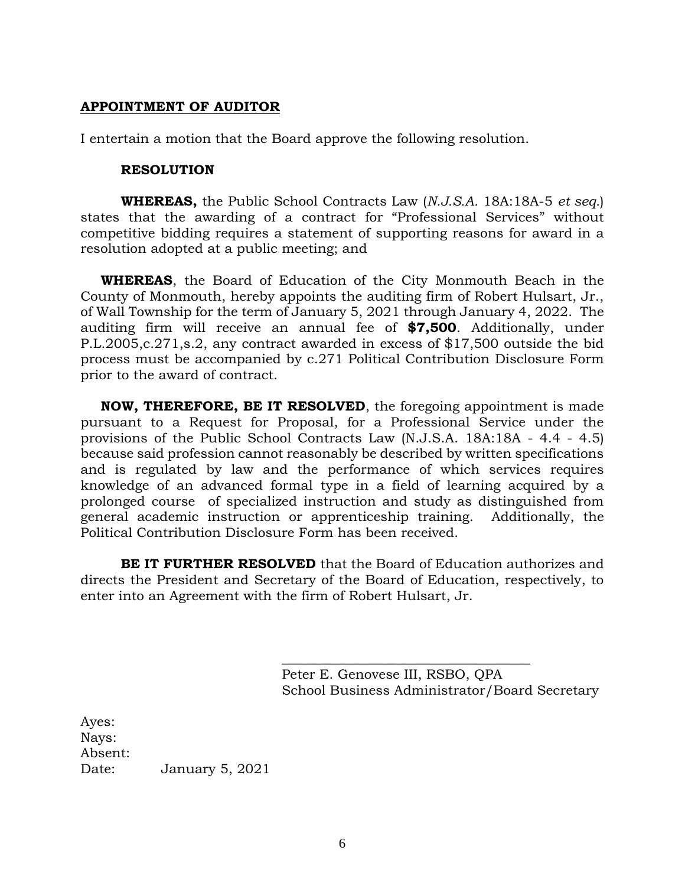## **APPOINTMENT OF AUDITOR**

I entertain a motion that the Board approve the following resolution.

#### **RESOLUTION**

**WHEREAS,** the Public School Contracts Law (*N.J.S.A.* 18A:18A-5 *et seq.*) states that the awarding of a contract for "Professional Services" without competitive bidding requires a statement of supporting reasons for award in a resolution adopted at a public meeting; and

**WHEREAS**, the Board of Education of the City Monmouth Beach in the County of Monmouth, hereby appoints the auditing firm of Robert Hulsart, Jr., of Wall Township for the term of January 5, 2021 through January 4, 2022. The auditing firm will receive an annual fee of **\$7,500**. Additionally, under P.L.2005,c.271,s.2, any contract awarded in excess of \$17,500 outside the bid process must be accompanied by c.271 Political Contribution Disclosure Form prior to the award of contract.

**NOW, THEREFORE, BE IT RESOLVED**, the foregoing appointment is made pursuant to a Request for Proposal, for a Professional Service under the provisions of the Public School Contracts Law (N.J.S.A. 18A:18A - 4.4 - 4.5) because said profession cannot reasonably be described by written specifications and is regulated by law and the performance of which services requires knowledge of an advanced formal type in a field of learning acquired by a prolonged course of specialized instruction and study as distinguished from general academic instruction or apprenticeship training. Additionally, the Political Contribution Disclosure Form has been received.

**BE IT FURTHER RESOLVED** that the Board of Education authorizes and directs the President and Secretary of the Board of Education, respectively, to enter into an Agreement with the firm of Robert Hulsart, Jr.

> Peter E. Genovese III, RSBO, QPA School Business Administrator/Board Secretary

\_\_\_\_\_\_\_\_\_\_\_\_\_\_\_\_\_\_\_\_\_\_\_\_\_\_\_\_\_\_\_\_\_\_\_\_\_

Ayes: Nays: Absent: Date: January 5, 2021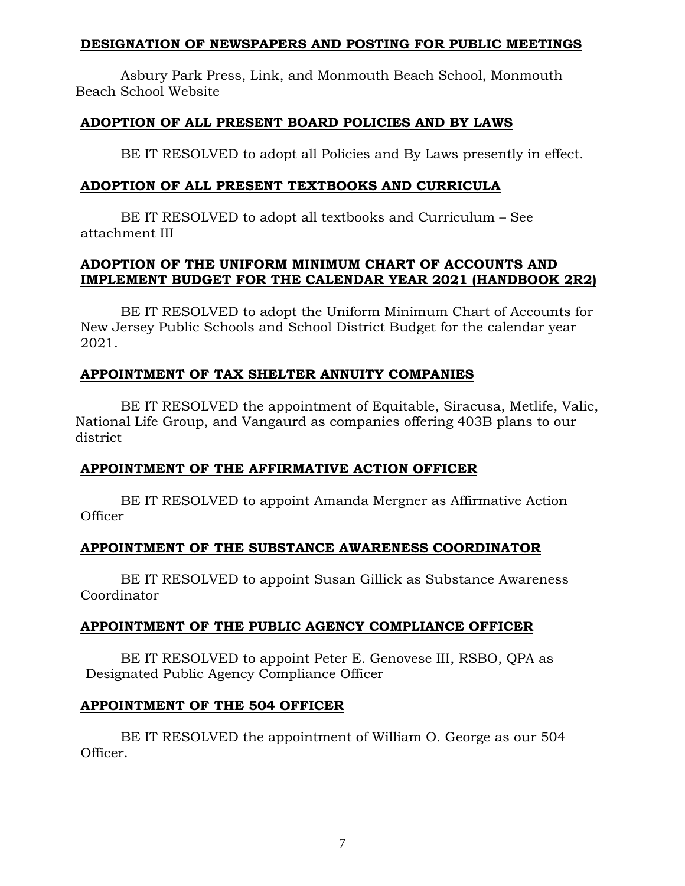#### **DESIGNATION OF NEWSPAPERS AND POSTING FOR PUBLIC MEETINGS**

Asbury Park Press, Link, and Monmouth Beach School, Monmouth Beach School Website

## **ADOPTION OF ALL PRESENT BOARD POLICIES AND BY LAWS**

BE IT RESOLVED to adopt all Policies and By Laws presently in effect.

## **ADOPTION OF ALL PRESENT TEXTBOOKS AND CURRICULA**

BE IT RESOLVED to adopt all textbooks and Curriculum – See attachment III

# **ADOPTION OF THE UNIFORM MINIMUM CHART OF ACCOUNTS AND IMPLEMENT BUDGET FOR THE CALENDAR YEAR 2021 (HANDBOOK 2R2)**

BE IT RESOLVED to adopt the Uniform Minimum Chart of Accounts for New Jersey Public Schools and School District Budget for the calendar year 2021.

# **APPOINTMENT OF TAX SHELTER ANNUITY COMPANIES**

BE IT RESOLVED the appointment of Equitable, Siracusa, Metlife, Valic, National Life Group, and Vangaurd as companies offering 403B plans to our district

## **APPOINTMENT OF THE AFFIRMATIVE ACTION OFFICER**

BE IT RESOLVED to appoint Amanda Mergner as Affirmative Action **Officer** 

# **APPOINTMENT OF THE SUBSTANCE AWARENESS COORDINATOR**

BE IT RESOLVED to appoint Susan Gillick as Substance Awareness Coordinator

## **APPOINTMENT OF THE PUBLIC AGENCY COMPLIANCE OFFICER**

BE IT RESOLVED to appoint Peter E. Genovese III, RSBO, QPA as Designated Public Agency Compliance Officer

## **APPOINTMENT OF THE 504 OFFICER**

BE IT RESOLVED the appointment of William O. George as our 504 Officer.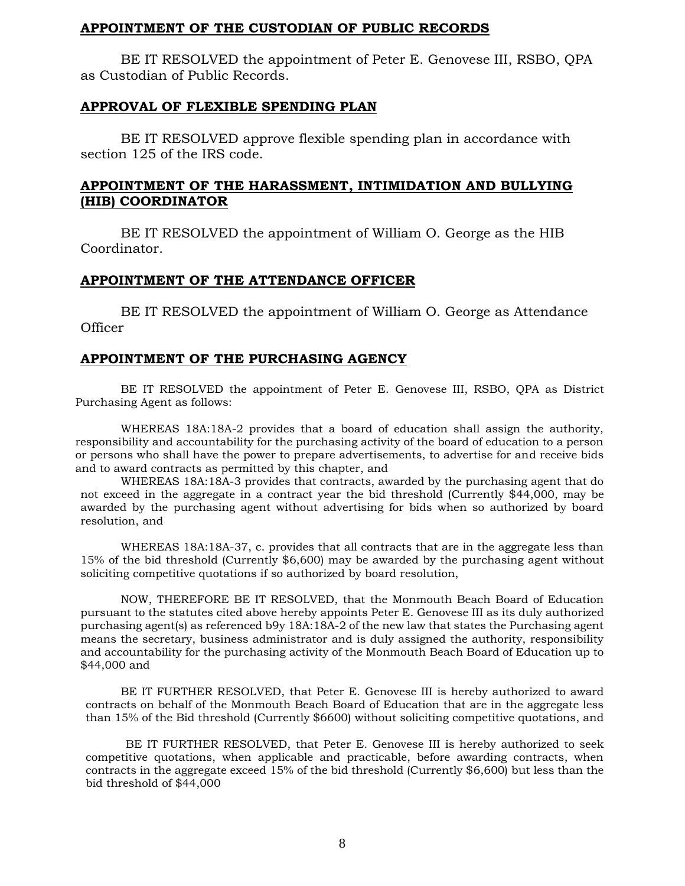#### **APPOINTMENT OF THE CUSTODIAN OF PUBLIC RECORDS**

BE IT RESOLVED the appointment of Peter E. Genovese III, RSBO, QPA as Custodian of Public Records.

#### **APPROVAL OF FLEXIBLE SPENDING PLAN**

BE IT RESOLVED approve flexible spending plan in accordance with section 125 of the IRS code.

## **APPOINTMENT OF THE HARASSMENT, INTIMIDATION AND BULLYING (HIB) COORDINATOR**

BE IT RESOLVED the appointment of William O. George as the HIB Coordinator.

#### **APPOINTMENT OF THE ATTENDANCE OFFICER**

BE IT RESOLVED the appointment of William O. George as Attendance **Officer** 

#### **APPOINTMENT OF THE PURCHASING AGENCY**

BE IT RESOLVED the appointment of Peter E. Genovese III, RSBO, QPA as District Purchasing Agent as follows:

WHEREAS 18A:18A-2 provides that a board of education shall assign the authority, responsibility and accountability for the purchasing activity of the board of education to a person or persons who shall have the power to prepare advertisements, to advertise for and receive bids and to award contracts as permitted by this chapter, and

WHEREAS 18A:18A-3 provides that contracts, awarded by the purchasing agent that do not exceed in the aggregate in a contract year the bid threshold (Currently \$44,000, may be awarded by the purchasing agent without advertising for bids when so authorized by board resolution, and

WHEREAS 18A:18A-37, c. provides that all contracts that are in the aggregate less than 15% of the bid threshold (Currently \$6,600) may be awarded by the purchasing agent without soliciting competitive quotations if so authorized by board resolution,

NOW, THEREFORE BE IT RESOLVED, that the Monmouth Beach Board of Education pursuant to the statutes cited above hereby appoints Peter E. Genovese III as its duly authorized purchasing agent(s) as referenced b9y 18A:18A-2 of the new law that states the Purchasing agent means the secretary, business administrator and is duly assigned the authority, responsibility and accountability for the purchasing activity of the Monmouth Beach Board of Education up to \$44,000 and

BE IT FURTHER RESOLVED, that Peter E. Genovese III is hereby authorized to award contracts on behalf of the Monmouth Beach Board of Education that are in the aggregate less than 15% of the Bid threshold (Currently \$6600) without soliciting competitive quotations, and

BE IT FURTHER RESOLVED, that Peter E. Genovese III is hereby authorized to seek competitive quotations, when applicable and practicable, before awarding contracts, when contracts in the aggregate exceed 15% of the bid threshold (Currently \$6,600) but less than the bid threshold of \$44,000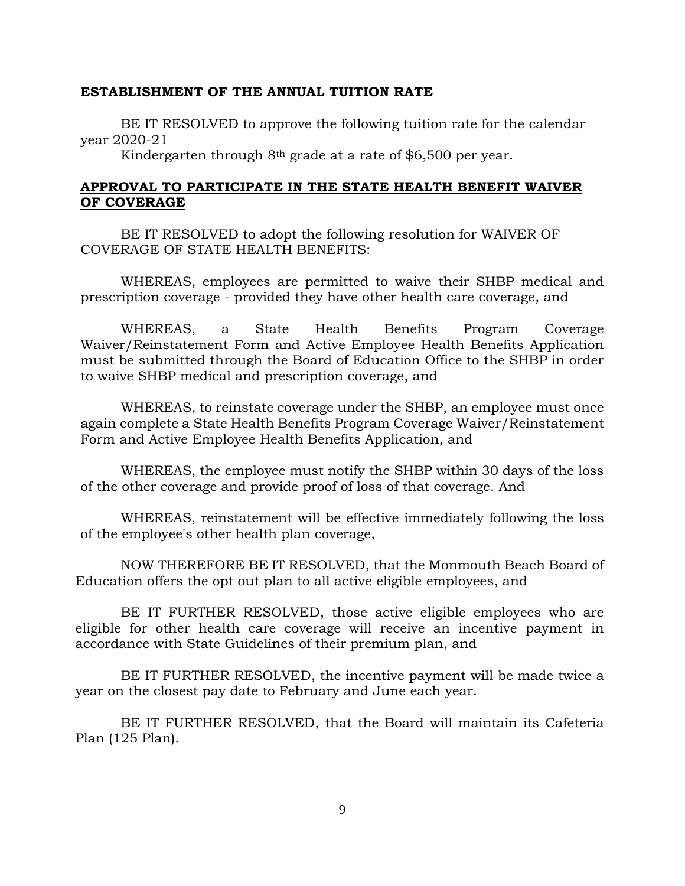#### **ESTABLISHMENT OF THE ANNUAL TUITION RATE**

BE IT RESOLVED to approve the following tuition rate for the calendar year 2020-21

Kindergarten through 8th grade at a rate of \$6,500 per year.

#### **APPROVAL TO PARTICIPATE IN THE STATE HEALTH BENEFIT WAIVER OF COVERAGE**

BE IT RESOLVED to adopt the following resolution for WAIVER OF COVERAGE OF STATE HEALTH BENEFITS:

WHEREAS, employees are permitted to waive their SHBP medical and prescription coverage - provided they have other health care coverage, and

WHEREAS, a State Health Benefits Program Coverage Waiver/Reinstatement Form and Active Employee Health Benefits Application must be submitted through the Board of Education Office to the SHBP in order to waive SHBP medical and prescription coverage, and

WHEREAS, to reinstate coverage under the SHBP, an employee must once again complete a State Health Benefits Program Coverage Waiver/Reinstatement Form and Active Employee Health Benefits Application, and

WHEREAS, the employee must notify the SHBP within 30 days of the loss of the other coverage and provide proof of loss of that coverage. And

WHEREAS, reinstatement will be effective immediately following the loss of the employee's other health plan coverage,

NOW THEREFORE BE IT RESOLVED, that the Monmouth Beach Board of Education offers the opt out plan to all active eligible employees, and

BE IT FURTHER RESOLVED, those active eligible employees who are eligible for other health care coverage will receive an incentive payment in accordance with State Guidelines of their premium plan, and

BE IT FURTHER RESOLVED, the incentive payment will be made twice a year on the closest pay date to February and June each year.

BE IT FURTHER RESOLVED, that the Board will maintain its Cafeteria Plan (125 Plan).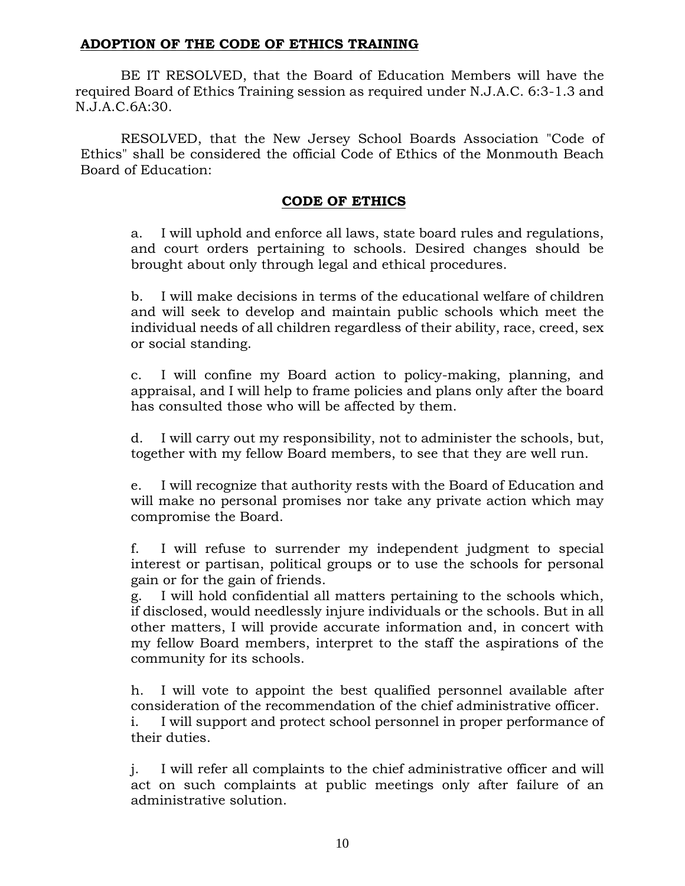## **ADOPTION OF THE CODE OF ETHICS TRAINING**

BE IT RESOLVED, that the Board of Education Members will have the required Board of Ethics Training session as required under N.J.A.C. 6:3-1.3 and N.J.A.C.6A:30.

RESOLVED, that the New Jersey School Boards Association "Code of Ethics" shall be considered the official Code of Ethics of the Monmouth Beach Board of Education:

## **CODE OF ETHICS**

a. I will uphold and enforce all laws, state board rules and regulations, and court orders pertaining to schools. Desired changes should be brought about only through legal and ethical procedures.

b. I will make decisions in terms of the educational welfare of children and will seek to develop and maintain public schools which meet the individual needs of all children regardless of their ability, race, creed, sex or social standing.

c. I will confine my Board action to policy-making, planning, and appraisal, and I will help to frame policies and plans only after the board has consulted those who will be affected by them.

d. I will carry out my responsibility, not to administer the schools, but, together with my fellow Board members, to see that they are well run.

e. I will recognize that authority rests with the Board of Education and will make no personal promises nor take any private action which may compromise the Board.

f. I will refuse to surrender my independent judgment to special interest or partisan, political groups or to use the schools for personal gain or for the gain of friends.

g. I will hold confidential all matters pertaining to the schools which, if disclosed, would needlessly injure individuals or the schools. But in all other matters, I will provide accurate information and, in concert with my fellow Board members, interpret to the staff the aspirations of the community for its schools.

h. I will vote to appoint the best qualified personnel available after consideration of the recommendation of the chief administrative officer.

i. I will support and protect school personnel in proper performance of their duties.

j. I will refer all complaints to the chief administrative officer and will act on such complaints at public meetings only after failure of an administrative solution.